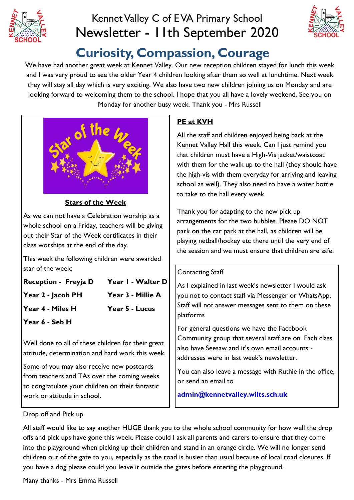

# Kennet Valley C of E VA Primary School Newsletter - 11th September 2020



# **Curiosity, Compassion, Courage**

We have had another great week at Kennet Valley. Our new reception children stayed for lunch this week and I was very proud to see the older Year 4 children looking after them so well at lunchtime. Next week they will stay all day which is very exciting. We also have two new children joining us on Monday and are looking forward to welcoming them to the school. I hope that you all have a lovely weekend. See you on Monday for another busy week. Thank you - Mrs Russell



#### **Stars of the Week**

As we can not have a Celebration worship as a whole school on a Friday, teachers will be giving out their Star of the Week certificates in their class worships at the end of the day.

This week the following children were awarded star of the week;

| Reception - Freyja D | Year I - Walter D     |
|----------------------|-----------------------|
| Year 2 - Jacob PH    | Year 3 - Millie A     |
| Year 4 - Miles H     | <b>Year 5 - Lucus</b> |
| Year 6 - Seb H       |                       |

Well done to all of these children for their great attitude, determination and hard work this week.

Some of you may also receive new postcards from teachers and TAs over the coming weeks to congratulate your children on their fantastic work or attitude in school.

### **PE at KVH**

All the staff and children enjoyed being back at the Kennet Valley Hall this week. Can I just remind you that children must have a High-Vis jacket/waistcoat with them for the walk up to the hall (they should have the high-vis with them everyday for arriving and leaving school as well). They also need to have a water bottle to take to the hall every week.

Thank you for adapting to the new pick up arrangements for the two bubbles. Please DO NOT park on the car park at the hall, as children will be playing netball/hockey etc there until the very end of the session and we must ensure that children are safe.

#### Contacting Staff

As I explained in last week's newsletter I would ask you not to contact staff via Messenger or WhatsApp. Staff will not answer messages sent to them on these platforms

For general questions we have the Facebook Community group that several staff are on. Each class also have Seesaw and it's own email accounts addresses were in last week's newsletter.

You can also leave a message with Ruthie in the office, or send an email to

**admin@kennetvalley.wilts.sch.uk** 

Drop off and Pick up

All staff would like to say another HUGE thank you to the whole school community for how well the drop offs and pick ups have gone this week. Please could I ask all parents and carers to ensure that they come into the playground when picking up their children and stand in an orange circle. We will no longer send children out of the gate to you, especially as the road is busier than usual because of local road closures. If you have a dog please could you leave it outside the gates before entering the playground.

Many thanks - Mrs Emma Russell